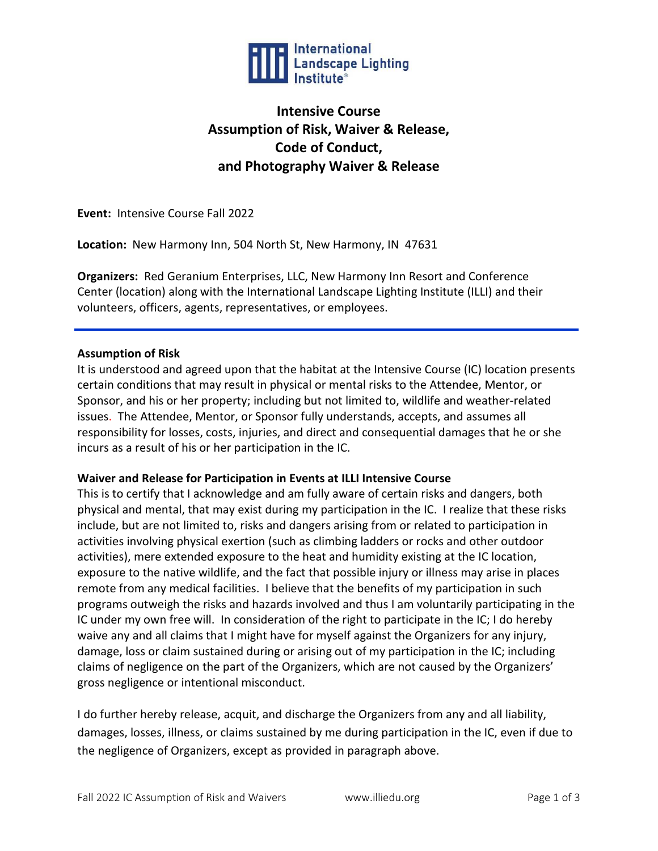

# **Intensive Course Assumption of Risk, Waiver & Release, Code of Conduct, and Photography Waiver & Release**

**Event:** Intensive Course Fall 2022

**Location:** New Harmony Inn, 504 North St, New Harmony, IN 47631

**Organizers:** Red Geranium Enterprises, LLC, New Harmony Inn Resort and Conference Center (location) along with the International Landscape Lighting Institute (ILLI) and their volunteers, officers, agents, representatives, or employees.

## **Assumption of Risk**

It is understood and agreed upon that the habitat at the Intensive Course (IC) location presents certain conditions that may result in physical or mental risks to the Attendee, Mentor, or Sponsor, and his or her property; including but not limited to, wildlife and weather-related issues. The Attendee, Mentor, or Sponsor fully understands, accepts, and assumes all responsibility for losses, costs, injuries, and direct and consequential damages that he or she incurs as a result of his or her participation in the IC.

## **Waiver and Release for Participation in Events at ILLI Intensive Course**

This is to certify that I acknowledge and am fully aware of certain risks and dangers, both physical and mental, that may exist during my participation in the IC. I realize that these risks include, but are not limited to, risks and dangers arising from or related to participation in activities involving physical exertion (such as climbing ladders or rocks and other outdoor activities), mere extended exposure to the heat and humidity existing at the IC location, exposure to the native wildlife, and the fact that possible injury or illness may arise in places remote from any medical facilities. I believe that the benefits of my participation in such programs outweigh the risks and hazards involved and thus I am voluntarily participating in the IC under my own free will. In consideration of the right to participate in the IC; I do hereby waive any and all claims that I might have for myself against the Organizers for any injury, damage, loss or claim sustained during or arising out of my participation in the IC; including claims of negligence on the part of the Organizers, which are not caused by the Organizers' gross negligence or intentional misconduct.

I do further hereby release, acquit, and discharge the Organizers from any and all liability, damages, losses, illness, or claims sustained by me during participation in the IC, even if due to the negligence of Organizers, except as provided in paragraph above.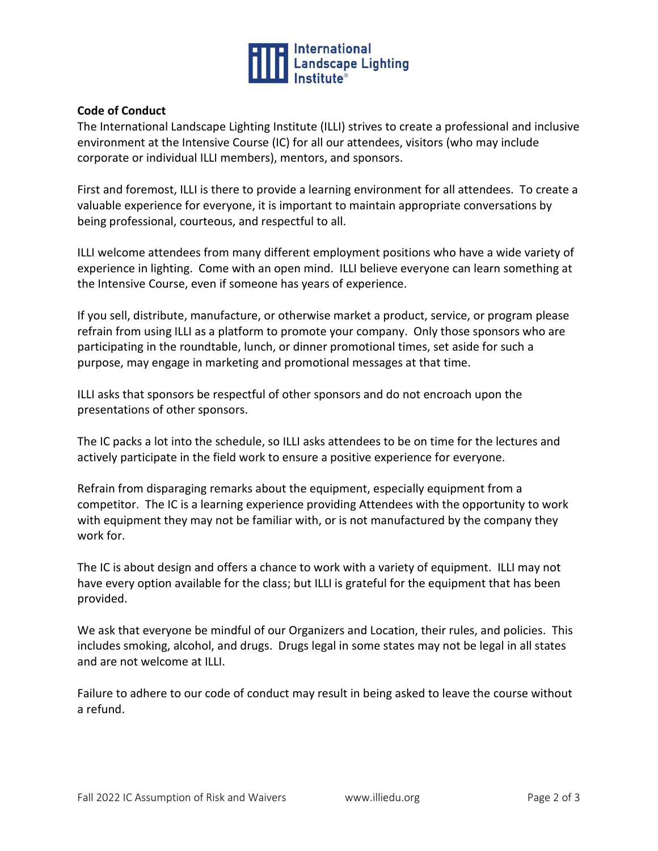

## **Code of Conduct**

The International Landscape Lighting Institute (ILLI) strives to create a professional and inclusive environment at the Intensive Course (IC) for all our attendees, visitors (who may include corporate or individual ILLI members), mentors, and sponsors.

First and foremost, ILLI is there to provide a learning environment for all attendees. To create a valuable experience for everyone, it is important to maintain appropriate conversations by being professional, courteous, and respectful to all.

ILLI welcome attendees from many different employment positions who have a wide variety of experience in lighting. Come with an open mind. ILLI believe everyone can learn something at the Intensive Course, even if someone has years of experience.

If you sell, distribute, manufacture, or otherwise market a product, service, or program please refrain from using ILLI as a platform to promote your company. Only those sponsors who are participating in the roundtable, lunch, or dinner promotional times, set aside for such a purpose, may engage in marketing and promotional messages at that time.

ILLI asks that sponsors be respectful of other sponsors and do not encroach upon the presentations of other sponsors.

The IC packs a lot into the schedule, so ILLI asks attendees to be on time for the lectures and actively participate in the field work to ensure a positive experience for everyone.

Refrain from disparaging remarks about the equipment, especially equipment from a competitor. The IC is a learning experience providing Attendees with the opportunity to work with equipment they may not be familiar with, or is not manufactured by the company they work for.

The IC is about design and offers a chance to work with a variety of equipment. ILLI may not have every option available for the class; but ILLI is grateful for the equipment that has been provided.

We ask that everyone be mindful of our Organizers and Location, their rules, and policies. This includes smoking, alcohol, and drugs. Drugs legal in some states may not be legal in all states and are not welcome at ILLI.

Failure to adhere to our code of conduct may result in being asked to leave the course without a refund.